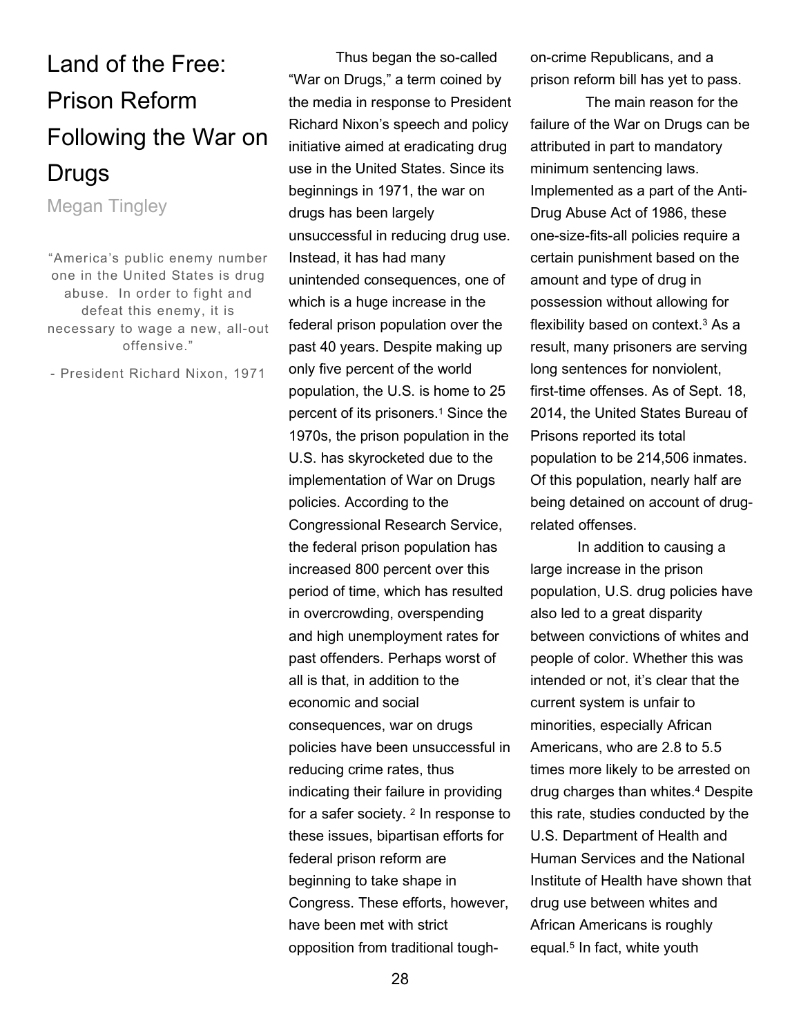## Land of the Free: Prison Reform Following the War on Drugs

Megan Tingley

"America's public enemy number one in the United States is drug abuse. In order to fight and defeat this enemy, it is necessary to wage a new, all-out offensive."

- President Richard Nixon, 1971

Thus began the so-called "War on Drugs," a term coined by the media in response to President Richard Nixon's speech and policy initiative aimed at eradicating drug use in the United States. Since its beginnings in 1971, the war on drugs has been largely unsuccessful in reducing drug use. Instead, it has had many unintended consequences, one of which is a huge increase in the federal prison population over the past 40 years. Despite making up only five percent of the world population, the U.S. is home to 25 percent of its prisoners.<sup>1</sup> Since the 1970s, the prison population in the U.S. has skyrocketed due to the implementation of War on Drugs policies. According to the Congressional Research Service, the federal prison population has increased 800 percent over this period of time, which has resulted in overcrowding, overspending and high unemployment rates for past offenders. Perhaps worst of all is that, in addition to the economic and social consequences, war on drugs policies have been unsuccessful in reducing crime rates, thus indicating their failure in providing for a safer society. <sup>2</sup> In response to these issues, bipartisan efforts for federal prison reform are beginning to take shape in Congress. These efforts, however, have been met with strict opposition from traditional toughon-crime Republicans, and a prison reform bill has yet to pass.

 The main reason for the failure of the War on Drugs can be attributed in part to mandatory minimum sentencing laws. Implemented as a part of the Anti-Drug Abuse Act of 1986, these one-size-fits-all policies require a certain punishment based on the amount and type of drug in possession without allowing for flexibility based on context.<sup>3</sup> As a result, many prisoners are serving long sentences for nonviolent, first-time offenses. As of Sept. 18, 2014, the United States Bureau of Prisons reported its total population to be 214,506 inmates. Of this population, nearly half are being detained on account of drugrelated offenses.

 In addition to causing a large increase in the prison population, U.S. drug policies have also led to a great disparity between convictions of whites and people of color. Whether this was intended or not, it's clear that the current system is unfair to minorities, especially African Americans, who are 2.8 to 5.5 times more likely to be arrested on drug charges than whites.<sup>4</sup> Despite this rate, studies conducted by the U.S. Department of Health and Human Services and the National Institute of Health have shown that drug use between whites and African Americans is roughly equal.<sup>5</sup> In fact, white youth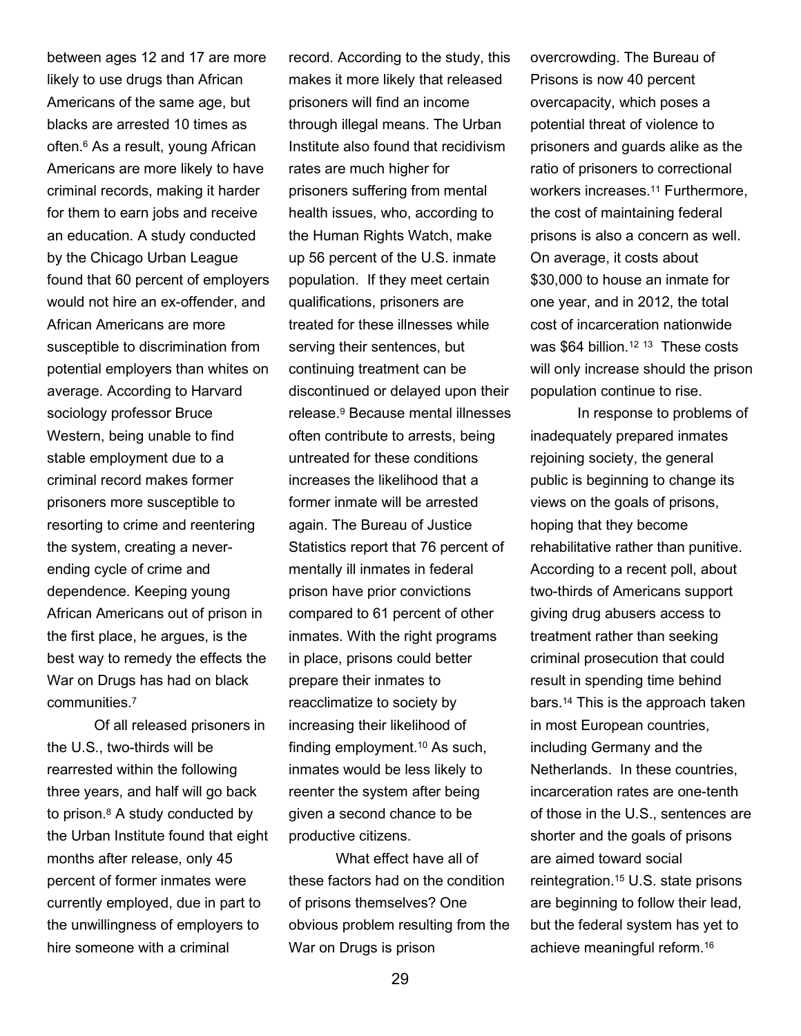between ages 12 and 17 are more likely to use drugs than African Americans of the same age, but blacks are arrested 10 times as often.<sup>6</sup> As a result, young African Americans are more likely to have criminal records, making it harder for them to earn jobs and receive an education. A study conducted by the Chicago Urban League found that 60 percent of employers would not hire an ex-offender, and African Americans are more susceptible to discrimination from potential employers than whites on average. According to Harvard sociology professor Bruce Western, being unable to find stable employment due to a criminal record makes former prisoners more susceptible to resorting to crime and reentering the system, creating a neverending cycle of crime and dependence. Keeping young African Americans out of prison in the first place, he argues, is the best way to remedy the effects the War on Drugs has had on black communities.<sup>7</sup>

 Of all released prisoners in the U.S., two-thirds will be rearrested within the following three years, and half will go back to prison.<sup>8</sup> A study conducted by the Urban Institute found that eight months after release, only 45 percent of former inmates were currently employed, due in part to the unwillingness of employers to hire someone with a criminal

record. According to the study, this makes it more likely that released prisoners will find an income through illegal means. The Urban Institute also found that recidivism rates are much higher for prisoners suffering from mental health issues, who, according to the Human Rights Watch, make up 56 percent of the U.S. inmate population. If they meet certain qualifications, prisoners are treated for these illnesses while serving their sentences, but continuing treatment can be discontinued or delayed upon their release.<sup>9</sup> Because mental illnesses often contribute to arrests, being untreated for these conditions increases the likelihood that a former inmate will be arrested again. The Bureau of Justice Statistics report that 76 percent of mentally ill inmates in federal prison have prior convictions compared to 61 percent of other inmates. With the right programs in place, prisons could better prepare their inmates to reacclimatize to society by increasing their likelihood of finding employment.10 As such, inmates would be less likely to reenter the system after being given a second chance to be productive citizens.

 What effect have all of these factors had on the condition of prisons themselves? One obvious problem resulting from the War on Drugs is prison

overcrowding. The Bureau of Prisons is now 40 percent overcapacity, which poses a potential threat of violence to prisoners and guards alike as the ratio of prisoners to correctional workers increases.<sup>11</sup> Furthermore, the cost of maintaining federal prisons is also a concern as well. On average, it costs about \$30,000 to house an inmate for one year, and in 2012, the total cost of incarceration nationwide was \$64 billion.<sup>12 13</sup> These costs will only increase should the prison population continue to rise.

 In response to problems of inadequately prepared inmates rejoining society, the general public is beginning to change its views on the goals of prisons, hoping that they become rehabilitative rather than punitive. According to a recent poll, about two-thirds of Americans support giving drug abusers access to treatment rather than seeking criminal prosecution that could result in spending time behind bars.14 This is the approach taken in most European countries, including Germany and the Netherlands. In these countries, incarceration rates are one-tenth of those in the U.S., sentences are shorter and the goals of prisons are aimed toward social reintegration.15 U.S. state prisons are beginning to follow their lead, but the federal system has yet to achieve meaningful reform.<sup>16</sup>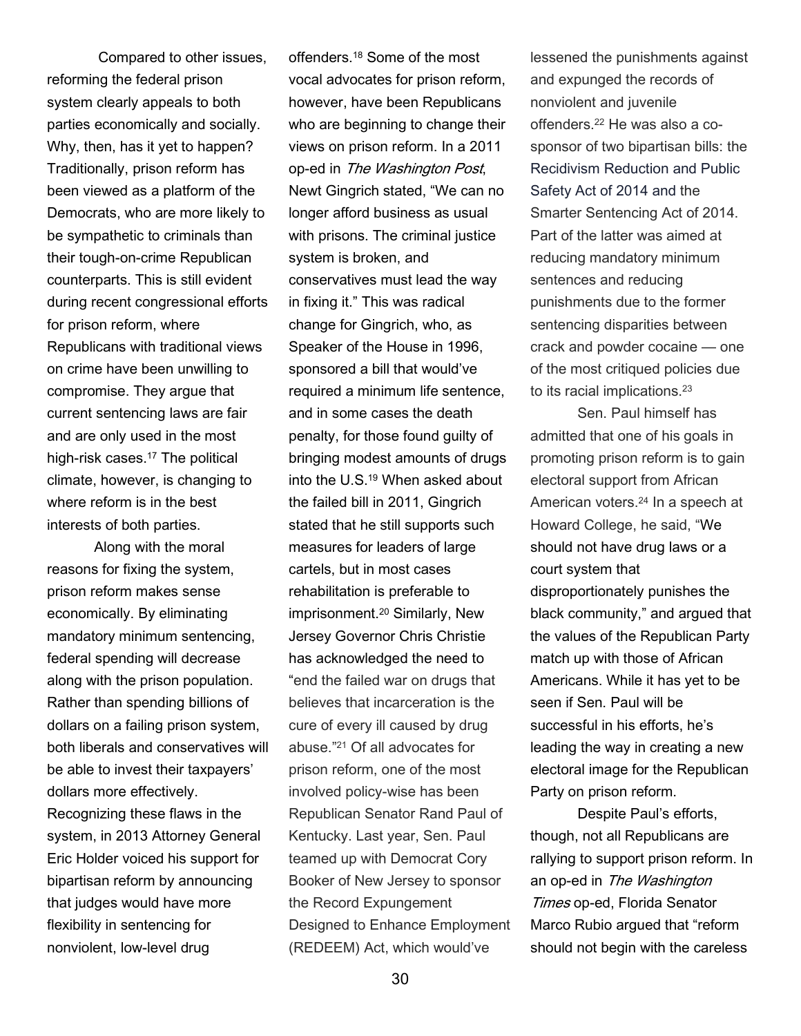Compared to other issues, reforming the federal prison system clearly appeals to both parties economically and socially. Why, then, has it yet to happen? Traditionally, prison reform has been viewed as a platform of the Democrats, who are more likely to be sympathetic to criminals than their tough-on-crime Republican counterparts. This is still evident during recent congressional efforts for prison reform, where Republicans with traditional views on crime have been unwilling to compromise. They argue that current sentencing laws are fair and are only used in the most high-risk cases.<sup>17</sup> The political climate, however, is changing to where reform is in the best interests of both parties.

 Along with the moral reasons for fixing the system, prison reform makes sense economically. By eliminating mandatory minimum sentencing, federal spending will decrease along with the prison population. Rather than spending billions of dollars on a failing prison system, both liberals and conservatives will be able to invest their taxpayers' dollars more effectively. Recognizing these flaws in the system, in 2013 Attorney General Eric Holder voiced his support for bipartisan reform by announcing that judges would have more flexibility in sentencing for nonviolent, low-level drug

offenders.18 Some of the most vocal advocates for prison reform, however, have been Republicans who are beginning to change their views on prison reform. In a 2011 op-ed in The Washington Post, Newt Gingrich stated, "We can no longer afford business as usual with prisons. The criminal justice system is broken, and conservatives must lead the way in fixing it." This was radical change for Gingrich, who, as Speaker of the House in 1996, sponsored a bill that would've required a minimum life sentence, and in some cases the death penalty, for those found guilty of bringing modest amounts of drugs into the U.S.19 When asked about the failed bill in 2011, Gingrich stated that he still supports such measures for leaders of large cartels, but in most cases rehabilitation is preferable to imprisonment.20 Similarly, New Jersey Governor Chris Christie has acknowledged the need to "end the failed war on drugs that believes that incarceration is the cure of every ill caused by drug abuse."21 Of all advocates for prison reform, one of the most involved policy-wise has been Republican Senator Rand Paul of Kentucky. Last year, Sen. Paul teamed up with Democrat Cory Booker of New Jersey to sponsor the Record Expungement Designed to Enhance Employment (REDEEM) Act, which would've

lessened the punishments against and expunged the records of nonviolent and juvenile offenders.22 He was also a cosponsor of two bipartisan bills: the Recidivism Reduction and Public Safety Act of 2014 and the Smarter Sentencing Act of 2014. Part of the latter was aimed at reducing mandatory minimum sentences and reducing punishments due to the former sentencing disparities between crack and powder cocaine — one of the most critiqued policies due to its racial implications.<sup>23</sup>

 Sen. Paul himself has admitted that one of his goals in promoting prison reform is to gain electoral support from African American voters.24 In a speech at Howard College, he said, "We should not have drug laws or a court system that disproportionately punishes the black community," and argued that the values of the Republican Party match up with those of African Americans. While it has yet to be seen if Sen. Paul will be successful in his efforts, he's leading the way in creating a new electoral image for the Republican Party on prison reform.

 Despite Paul's efforts, though, not all Republicans are rallying to support prison reform. In an op-ed in The Washington Times op-ed, Florida Senator Marco Rubio argued that "reform should not begin with the careless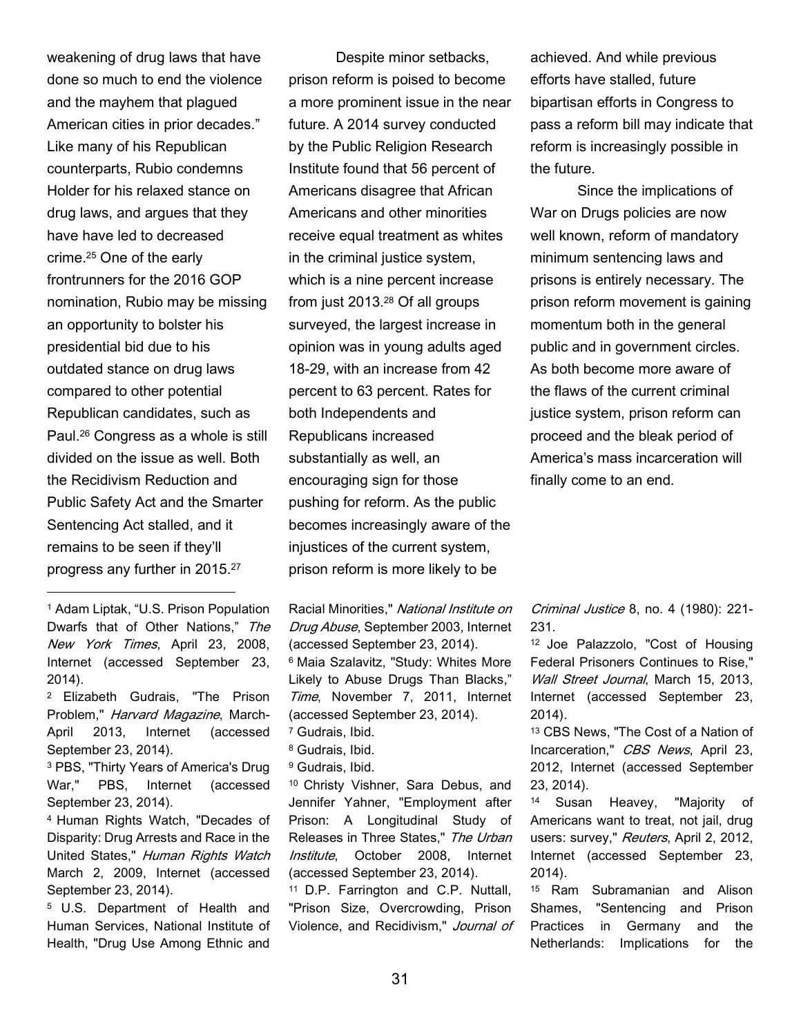weakening of drug laws that have done so much to end the violence and the mayhem that plagued American cities in prior decades." Like many of his Republican counterparts, Rubio condemns Holder for his relaxed stance on drug laws, and argues that they have have led to decreased crime.25 One of the early frontrunners for the 2016 GOP nomination, Rubio may be missing an opportunity to bolster his presidential bid due to his outdated stance on drug laws compared to other potential Republican candidates, such as Paul.26 Congress as a whole is still divided on the issue as well. Both the Recidivism Reduction and Public Safety Act and the Smarter Sentencing Act stalled, and it remains to be seen if they'll progress any further in 2015.<sup>27</sup>

<sup>1</sup> Adam Liptak, "U.S. Prison Population Dwarfs that of Other Nations," The New York Times, April 23, 2008, Internet (accessed September 23, 2014).

 $\overline{a}$ 

<sup>2</sup> Elizabeth Gudrais, "The Prison Problem," Harvard Magazine, March-April 2013, Internet (accessed September 23, 2014).

<sup>3</sup> PBS, "Thirty Years of America's Drug War," PBS, Internet (accessed September 23, 2014).

<sup>4</sup> Human Rights Watch, "Decades of Disparity: Drug Arrests and Race in the United States," Human Rights Watch March 2, 2009, Internet (accessed September 23, 2014).

<sup>5</sup> U.S. Department of Health and Human Services, National Institute of Health, "Drug Use Among Ethnic and

 Despite minor setbacks, prison reform is poised to become a more prominent issue in the near future. A 2014 survey conducted by the Public Religion Research Institute found that 56 percent of Americans disagree that African Americans and other minorities receive equal treatment as whites in the criminal justice system, which is a nine percent increase from just 2013.28 Of all groups surveyed, the largest increase in opinion was in young adults aged 18-29, with an increase from 42 percent to 63 percent. Rates for both Independents and Republicans increased substantially as well, an encouraging sign for those pushing for reform. As the public becomes increasingly aware of the injustices of the current system, prison reform is more likely to be

Racial Minorities," National Institute on Drug Abuse, September 2003, Internet (accessed September 23, 2014). <sup>6</sup> Maia Szalavitz, "Study: Whites More Likely to Abuse Drugs Than Blacks," Time, November 7, 2011, Internet (accessed September 23, 2014). <sup>7</sup> Gudrais, Ibid.

<sup>8</sup> Gudrais, Ibid.

- <sup>9</sup> Gudrais, Ibid.
- 

<sup>10</sup> Christy Vishner, Sara Debus, and Jennifer Yahner, "Employment after Prison: A Longitudinal Study of Releases in Three States," The Urban Institute, October 2008, Internet (accessed September 23, 2014).

<sup>11</sup> D.P. Farrington and C.P. Nuttall, "Prison Size, Overcrowding, Prison Violence, and Recidivism," Journal of achieved. And while previous efforts have stalled, future bipartisan efforts in Congress to pass a reform bill may indicate that reform is increasingly possible in the future.

 Since the implications of War on Drugs policies are now well known, reform of mandatory minimum sentencing laws and prisons is entirely necessary. The prison reform movement is gaining momentum both in the general public and in government circles. As both become more aware of the flaws of the current criminal justice system, prison reform can proceed and the bleak period of America's mass incarceration will finally come to an end.

Criminal Justice 8, no. 4 (1980): 221- 231.

<sup>12</sup> Joe Palazzolo, "Cost of Housing Federal Prisoners Continues to Rise," Wall Street Journal, March 15, 2013, Internet (accessed September 23, 2014).

<sup>13</sup> CBS News, "The Cost of a Nation of Incarceration," CBS News, April 23, 2012, Internet (accessed September 23, 2014).

<sup>14</sup> Susan Heavey, "Majority of Americans want to treat, not jail, drug users: survey," Reuters, April 2, 2012, Internet (accessed September 23, 2014).

<sup>15</sup> Ram Subramanian and Alison Shames, "Sentencing and Prison Practices in Germany and the Netherlands: Implications for the